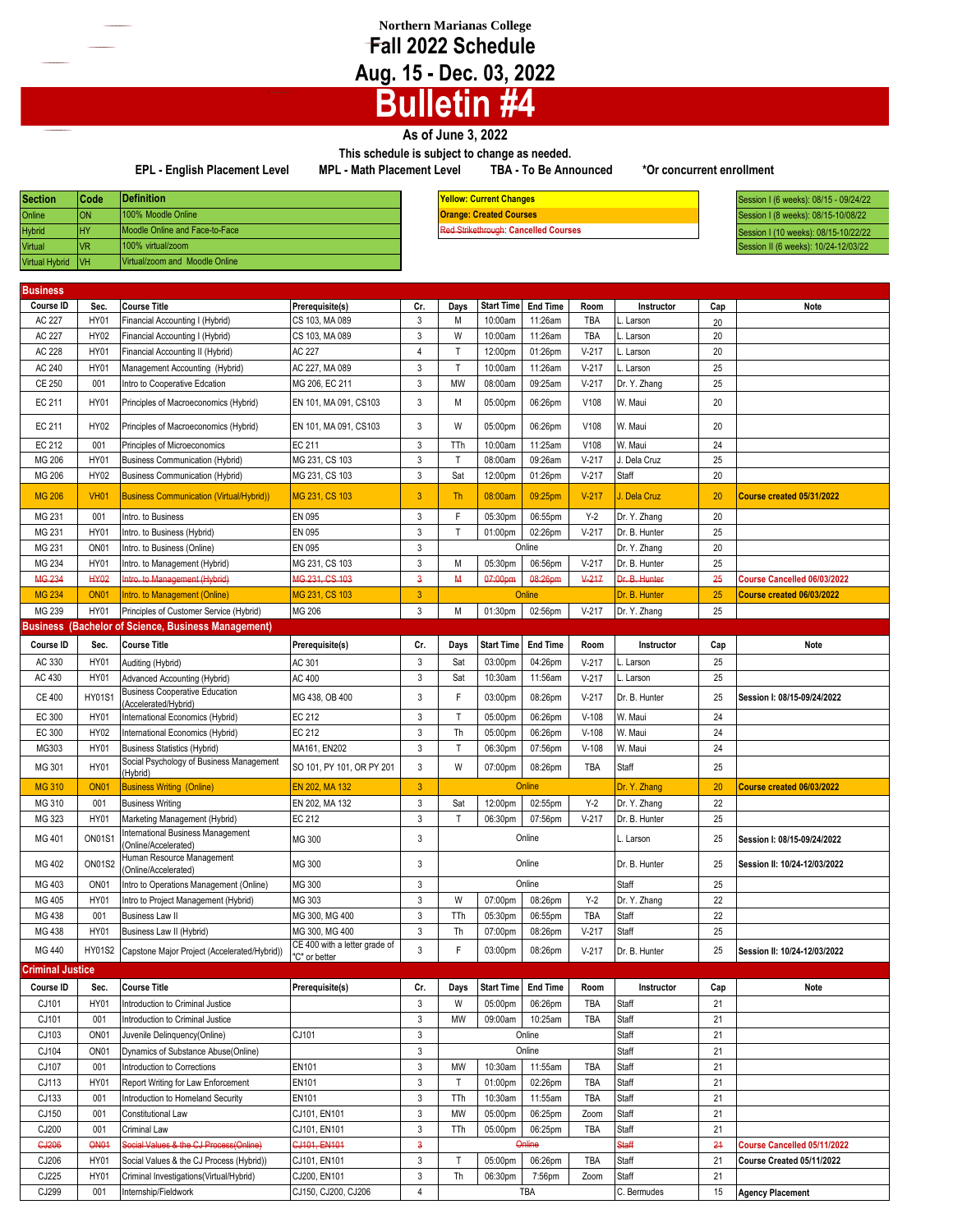## **Northern Marianas College Fall 2022 Schedule Aug. 15 - Dec. 03, 2022**

## **Bulletin #4**

## **As of June 3, 2022**

**This schedule is subject to change as needed. EPL - English Placement Level MPL - Math Placement Level TBA - To Be Announced \*Or concurrent enrollment**

| <b>Section</b>        | l Code     | <b>IDefinition</b>             |
|-----------------------|------------|--------------------------------|
| Online                | ON         | 100% Moodle Online             |
| <b>Hybrid</b>         | <b>HY</b>  | Moodle Online and Face-to-Face |
| Virtual               | <b>VR</b>  | 100% virtual/zoom              |
| <b>Virtual Hybrid</b> | <b>IVH</b> | Virtual/zoom and Moodle Online |

**Definition Yellow: Current Changes** 100% Moodle Online **Orange: Created Courses** Moodle Online and Face-to-Face Red Strikethrough: **Cancelled Courses**

**Section Code** Session I (6 weeks): 08/15 - 09/24/22 Session I (8 weeks): 08/15-10/08/22 Session I (10 weeks): 08/15-10/22/22 **Virtual Virtual Virtual Virtual Virtual Virtual Virtual Virtual Virtual Virtual Virtual Virtual Virtual Virtual Virtual Virtual Virtual Virtual Virtual Virtual Virtual Virtual Virtual Virtual Virtual Virtual Virtual Virtu** 

| Business                |                  |                                                                       |                                                |                           |              |                       |                 |            |               |     |                              |
|-------------------------|------------------|-----------------------------------------------------------------------|------------------------------------------------|---------------------------|--------------|-----------------------|-----------------|------------|---------------|-----|------------------------------|
| Course ID               | Sec.             | <b>Course Title</b>                                                   | Prerequisite(s)                                | Cr.                       | Days         | <b>Start Time</b>     | <b>End Time</b> | Room       | Instructor    | Cap | Note                         |
| AC 227                  | <b>HY01</b>      | Financial Accounting I (Hybrid)                                       | CS 103, MA 089                                 | 3                         | М            | 10:00am               | 11:26am         | <b>TBA</b> | L. Larson     | 20  |                              |
| AC 227                  | HY02             | Financial Accounting I (Hybrid)                                       | CS 103, MA 089                                 | 3                         | W            | 10:00am               | 11:26am         | TBA        | L. Larson     | 20  |                              |
| AC 228                  | <b>HY01</b>      | Financial Accounting II (Hybrid)                                      | AC 227                                         | $\overline{4}$            | T            | 12:00pm               | 01:26pm         | $V-217$    | L. Larson     | 20  |                              |
| AC 240                  | <b>HY01</b>      | Management Accounting (Hybrid)                                        | AC 227, MA 089                                 | 3                         | $\mathsf{T}$ | 10:00am               | 11:26am         | $V-217$    | L. Larson     | 25  |                              |
| CE 250                  | 001              | Intro to Cooperative Edcation                                         | MG 206, EC 211                                 | 3                         | <b>MW</b>    | 08:00am               | 09:25am         | $V-217$    | Dr. Y. Zhang  | 25  |                              |
| EC 211                  | HY01             | Principles of Macroeconomics (Hybrid)                                 | EN 101, MA 091, CS103                          | 3                         | Μ            | 05:00pm               | 06:26pm         | V108       | W. Maui       | 20  |                              |
| EC 211                  | HY02             | Principles of Macroeconomics (Hybrid)                                 | EN 101, MA 091, CS103                          | 3                         | W            | 05:00pm               | 06:26pm         | V108       | W. Maui       | 20  |                              |
| EC 212                  | 001              | Principles of Microeconomics                                          | EC 211                                         | 3                         | TTh          | 10:00am               | 11:25am         | V108       | W. Maui       | 24  |                              |
| MG 206                  | <b>HY01</b>      | <b>Business Communication (Hybrid)</b>                                | MG 231, CS 103                                 | $\mathbf{3}$              | $\mathsf{T}$ | 08:00am               | 09:26am         | $V-217$    | . Dela Cruz   | 25  |                              |
| MG 206                  | HY02             | <b>Business Communication (Hybrid)</b>                                | MG 231, CS 103                                 | 3                         | Sat          | 12:00pm               | 01:26pm         | $V-217$    | Staff         | 20  |                              |
| <b>MG 206</b>           | <b>VH01</b>      | <b>Business Communication (Virtual/Hybrid))</b>                       | MG 231, CS 103                                 | 3                         | <b>Th</b>    | 08:00am               | 09:25pm         | $V-217$    | J. Dela Cruz  | 20  | Course created 05/31/2022    |
| MG 231                  | 001              | Intro. to Business                                                    | <b>EN 095</b>                                  | $\mathbf{3}$              | F            | 05:30pm               | 06:55pm         | $Y-2$      | Dr. Y. Zhang  | 20  |                              |
| MG 231                  | HY01             | Intro. to Business (Hybrid)                                           | EN 095                                         | $\mathbf{3}$              | T            | 01:00pm               | 02:26pm         | $V-217$    | Dr. B. Hunter | 25  |                              |
| MG 231                  | ON <sub>01</sub> | Intro. to Business (Online)                                           | EN 095                                         | $\mathbf{3}$              |              |                       | Online          |            | Dr. Y. Zhang  | 20  |                              |
| MG 234                  | <b>HY01</b>      | Intro. to Management (Hybrid)                                         | MG 231, CS 103                                 | 3                         | М            | 05:30pm               | 06:56pm         | $V-217$    | Dr. B. Hunter | 25  |                              |
| MG 234                  | <b>HY02</b>      | Intro. to Management (Hybrid)                                         | MG 231, CS 103                                 | $\overline{\mathbf{3}}$   | M            | 07:00pm               | 08:26pm         | $V-217$    | Dr. B. Hunter | 25  | Course Cancelled 06/03/2022  |
| <b>MG 234</b>           | <b>ON01</b>      | Intro. to Management (Online)                                         | MG 231, CS 103                                 | 3                         |              |                       | Online          |            | Dr. B. Hunter | 25  | Course created 06/03/2022    |
| MG 239                  | HY01             | Principles of Customer Service (Hybrid)                               | MG 206                                         | $\mathbf{3}$              | M            | 01:30pm               | 02:56pm         | $V-217$    | Dr. Y. Zhang  | 25  |                              |
|                         |                  | <b>Business (Bachelor of Science, Business Management)</b>            |                                                |                           |              |                       |                 |            |               |     |                              |
| Course ID               | Sec.             | <b>Course Title</b>                                                   | Prerequisite(s)                                | Cr.                       | Days         | <b>Start Time</b>     | <b>End Time</b> | Room       | Instructor    | Cap | Note                         |
|                         |                  |                                                                       |                                                |                           |              |                       |                 |            |               |     |                              |
| AC 330                  | <b>HY01</b>      | Auditing (Hybrid)                                                     | AC 301                                         | 3                         | Sat          | 03:00pm               | 04:26pm         | $V-217$    | L. Larson     | 25  |                              |
| AC 430                  | <b>HY01</b>      | Advanced Accounting (Hybrid)<br><b>Business Cooperative Education</b> | AC 400                                         | 3                         | Sat          | 10:30am               | 11:56am         | $V-217$    | . Larson      | 25  |                              |
| CE 400                  | <b>HY01S1</b>    | (Accelerated/Hybrid)                                                  | MG 438, OB 400                                 | 3                         | F            | 03:00pm               | 08:26pm         | $V-217$    | Dr. B. Hunter | 25  | Session I: 08/15-09/24/2022  |
| EC 300                  | <b>HY01</b>      | International Economics (Hybrid)                                      | EC 212                                         | $\mathbf{3}$              | T.           | 05:00pm               | 06:26pm         | $V-108$    | W. Maui       | 24  |                              |
| EC 300                  | <b>HY02</b>      | International Economics (Hybrid)                                      | EC 212                                         | 3                         | Th           | 05:00pm               | 06:26pm         | $V-108$    | W. Maui       | 24  |                              |
| MG303                   | <b>HY01</b>      | <b>Business Statistics (Hybrid)</b>                                   | MA161, EN202                                   | 3                         | T            | 06:30pm               | 07:56pm         | $V-108$    | W. Maui       | 24  |                              |
| MG 301                  | <b>HY01</b>      | Social Psychology of Business Management<br>(Hybrid)                  | SO 101, PY 101, OR PY 201                      | 3                         | W            | 07:00pm               | 08:26pm         | TBA        | Staff         | 25  |                              |
| <b>MG 310</b>           | <b>ON01</b>      | <b>Business Writing (Online)</b>                                      | EN 202, MA 132                                 | $\overline{3}$            |              |                       | Online          |            | Dr. Y. Zhang  | 20  | Course created 06/03/2022    |
| MG 310                  | 001              | <b>Business Writing</b>                                               | EN 202, MA 132                                 | 3                         | Sat          | 12:00pm               | 02:55pm         | $Y-2$      | Dr. Y. Zhang  | 22  |                              |
| MG 323                  | <b>HY01</b>      | Marketing Management (Hybrid)                                         | EC 212                                         | $\mathbf{3}$              | т            | 06:30pm               | 07:56pm         | $V-217$    | Dr. B. Hunter | 25  |                              |
| MG 401                  | <b>ON01S1</b>    | International Business Management<br>Online/Accelerated)              | MG 300                                         | 3                         |              |                       | Online          |            | L. Larson     | 25  | Session I: 08/15-09/24/2022  |
| MG 402                  | <b>ON01S2</b>    | Human Resource Management<br>(Online/Accelerated)                     | MG 300                                         | 3                         |              |                       | Online          |            | Dr. B. Hunter | 25  | Session II: 10/24-12/03/2022 |
| MG 403                  | ON <sub>01</sub> | Intro to Operations Management (Online)                               | MG 300                                         | 3                         |              |                       | Online          |            | Staff         | 25  |                              |
| MG 405                  | <b>HY01</b>      | Intro to Project Management (Hybrid)                                  | MG 303                                         | 3                         | W            | 07:00pm               | 08:26pm         | $Y-2$      | Dr. Y. Zhang  | 22  |                              |
| MG 438                  | 001              | <b>Business Law II</b>                                                | MG 300, MG 400                                 | 3                         | TTh          | 05:30pm               | 06:55pm         | TBA        | Staff         | 22  |                              |
| MG 438                  | <b>HY01</b>      | Business Law II (Hybrid)                                              | MG 300, MG 400                                 | $\mathbf{3}$              | Th           | 07:00pm               | 08:26pm         | $V-217$    | Staff         | 25  |                              |
| MG 440                  | <b>HY01S2</b>    | Capstone Major Project (Accelerated/Hybrid))                          | CE 400 with a letter grade of<br>'C" or better | 3                         | F            | 03:00pm               | 08:26pm         | $V-217$    | Dr. B. Hunter | 25  | Session II: 10/24-12/03/2022 |
| <b>Criminal Justice</b> |                  |                                                                       |                                                |                           |              |                       |                 |            |               |     |                              |
| Course ID               | Sec.             | <b>Course Title</b>                                                   | Prerequisite(s)                                | Cr.                       | Days         | Start Time   End Time |                 | Room       | Instructor    | Cap | Note                         |
| CJ101                   | HY01             | Introduction to Criminal Justice                                      |                                                | $\ensuremath{\mathsf{3}}$ | W            | 05:00pm               | 06:26pm         | TBA        | Staff         | 21  |                              |
| CJ101                   | 001              | Introduction to Criminal Justice                                      |                                                | $\mathbf{3}$              | MW           | 09:00am               | 10:25am         | TBA        | Staff         | 21  |                              |
| CJ103                   | ON <sub>01</sub> | Juvenile Delinquency(Online)                                          | CJ101                                          | 3                         |              |                       | Online          |            | Staff         | 21  |                              |
| CJ104                   | ON <sub>01</sub> | Dynamics of Substance Abuse(Online)                                   |                                                | $\mathsf 3$               |              |                       | Online          |            | Staff         | 21  |                              |
| CJ107                   | 001              | Introduction to Corrections                                           | EN101                                          | 3                         | MW           | 10:30am               | 11:55am         | TBA        | Staff         | 21  |                              |
| CJ113                   | HY01             | Report Writing for Law Enforcement                                    | EN101                                          | 3                         | T.           | 01:00pm               | 02:26pm         | TBA        | Staff         | 21  |                              |
| CJ133                   | 001              | Introduction to Homeland Security                                     | EN101                                          | $\mathbf{3}$              | TTh          | 10:30am               | 11:55am         | TBA        | Staff         | 21  |                              |
| CJ150                   | 001              | Constitutional Law                                                    | CJ101, EN101                                   | 3                         | MW           | 05:00pm               | 06:25pm         | Zoom       | Staff         | 21  |                              |
| CJ200                   | 001              | Criminal Law                                                          | CJ101, EN101                                   | 3                         | TTh          | 05:00pm               | 06:25pm         | TBA        | Staff         | 21  |                              |
| <b>GJ206</b>            | <b>ON01</b>      | Social Values & the CJ Process(Online)                                | CJ101, EN101                                   | 3                         |              |                       | Online          |            | <b>Staff</b>  | 24  | Course Cancelled 05/11/2022  |
| CJ206                   | <b>HY01</b>      | Social Values & the CJ Process (Hybrid))                              | CJ101, EN101                                   | 3                         | Т            | 05:00pm               | 06:26pm         | TBA        | Staff         | 21  | Course Created 05/11/2022    |
| CJ225                   | HY01             | Criminal Investigations(Virtual/Hybrid)                               | CJ200, EN101                                   | 3                         | Th           | 06:30pm               | 7:56pm          | Zoom       | Staff         | 21  |                              |
|                         |                  |                                                                       |                                                |                           |              |                       |                 |            |               |     |                              |
| CJ299                   | 001              | Internship/Fieldwork                                                  | CJ150, CJ200, CJ206                            | $\overline{4}$            |              |                       | TBA             |            | C. Bermudes   | 15  | <b>Agency Placement</b>      |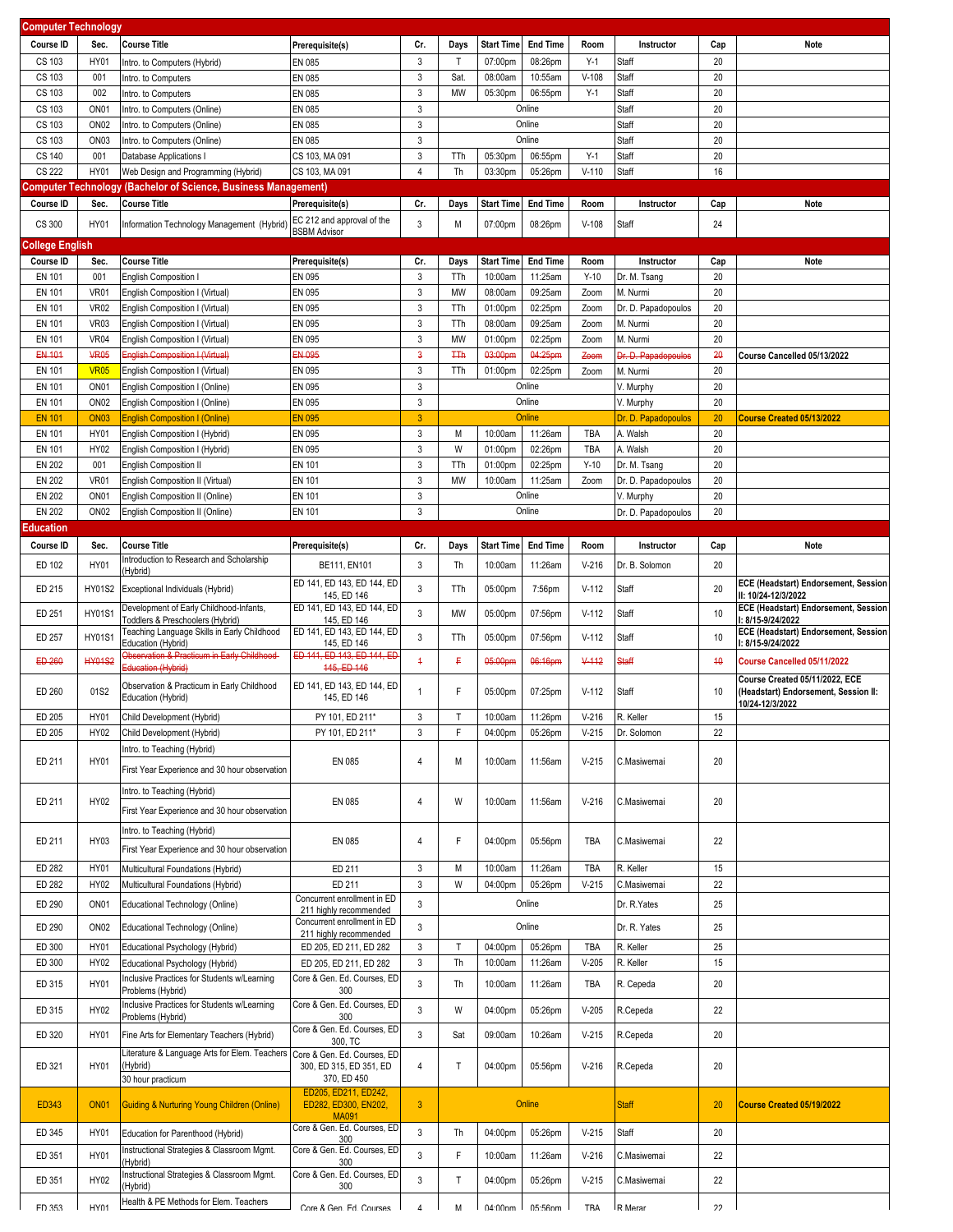| <b>Computer Technology</b> |                  |                                                                             |                                                       |                         |              |                           |                   |            |                     |     |                                                           |
|----------------------------|------------------|-----------------------------------------------------------------------------|-------------------------------------------------------|-------------------------|--------------|---------------------------|-------------------|------------|---------------------|-----|-----------------------------------------------------------|
| Course ID                  | Sec.             | <b>Course Title</b>                                                         | Prerequisite(s)                                       | Cr.                     | Days         | <b>Start Time</b>         | <b>End Time</b>   | Room       | Instructor          | Cap | Note                                                      |
| CS 103                     | <b>HY01</b>      | Intro. to Computers (Hybrid)                                                | EN 085                                                | $\mathbf{3}$            | $\mathsf{T}$ | 07:00pm                   | 08:26pm           | $Y-1$      | Staff               | 20  |                                                           |
| CS 103                     | 001              | Intro. to Computers                                                         | EN 085                                                | 3                       | Sat          | 08:00am                   | 10:55am           | $V-108$    | Staff               | 20  |                                                           |
| CS 103                     | 002              |                                                                             | EN 085                                                | $\mathbf{3}$            | <b>MW</b>    |                           |                   | $Y-1$      |                     | 20  |                                                           |
|                            |                  | Intro. to Computers                                                         | EN 085                                                | $\mathbf{3}$            |              | 05:30pm                   | 06:55pm<br>Online |            | Staff               | 20  |                                                           |
| CS 103                     | ON <sub>01</sub> | Intro. to Computers (Online)                                                |                                                       |                         |              |                           |                   |            | Staff               |     |                                                           |
| CS 103                     | ON <sub>02</sub> | Intro. to Computers (Online)                                                | EN 085                                                | 3                       |              |                           | Online            |            | Staff               | 20  |                                                           |
| CS 103                     | ON <sub>03</sub> | Intro. to Computers (Online)                                                | EN 085                                                | 3                       |              |                           | Online            |            | Staff               | 20  |                                                           |
| CS 140                     | 001              | Database Applications I                                                     | CS 103, MA 091                                        | 3                       | TTh          | 05:30pm                   | 06:55pm           | $Y-1$      | Staff               | 20  |                                                           |
| <b>CS 222</b>              | <b>HY01</b>      | Web Design and Programming (Hybrid)                                         | CS 103, MA 091                                        | $\overline{4}$          | Th           | 03:30pm                   | 05:26pm           | $V-110$    | Staff               | 16  |                                                           |
|                            |                  | Computer Technology (Bachelor of Science, Business Management)              |                                                       |                         |              |                           |                   |            |                     |     |                                                           |
| Course ID                  | Sec.             | <b>Course Title</b>                                                         | Prerequisite(s)                                       | Cr.                     | Days         | <b>Start Time</b>         | <b>End Time</b>   | Room       | Instructor          | Cap | Note                                                      |
| CS 300                     | HY01             | Information Technology Management (Hybrid)                                  | EC 212 and approval of the                            | 3                       | M            | 07:00pm                   | 08:26pm           | $V-108$    | Staff               | 24  |                                                           |
| <b>College English</b>     |                  |                                                                             | <b>BSBM Advisor</b>                                   |                         |              |                           |                   |            |                     |     |                                                           |
|                            |                  |                                                                             |                                                       |                         |              |                           |                   |            |                     |     |                                                           |
| Course ID                  | Sec.             | <b>Course Title</b>                                                         | Prerequisite(s)                                       | Cr.                     | Days         | <b>Start Time</b>         | <b>End Time</b>   | Room       | Instructor          | Cap | Note                                                      |
| <b>EN 101</b>              | 001              | <b>English Composition I</b>                                                | EN 095                                                | $\mathbf{3}$            | TTh          | 10:00am                   | 11:25am           | $Y-10$     | Dr. M. Tsang        | 20  |                                                           |
| EN 101                     | <b>VR01</b>      | English Composition I (Virtual)                                             | EN 095                                                | 3                       | MW           | 08:00am                   | 09:25am           | Zoom       | M. Nurmi            | 20  |                                                           |
| EN 101                     | <b>VR02</b>      | English Composition I (Virtual)                                             | EN 095                                                | $\mathbf{3}$            | TTh          | 01:00pm                   | 02:25pm           | Zoom       | Dr. D. Papadopoulos | 20  |                                                           |
| EN 101                     | <b>VR03</b>      | English Composition I (Virtual)                                             | EN 095                                                | $\mathbf{3}$            | TTh          | 08:00am                   | 09:25am           | Zoom       | M. Nurmi            | 20  |                                                           |
| EN 101                     | <b>VR04</b>      | English Composition I (Virtual)                                             | EN 095                                                | $\mathbf{3}$            | MW           | 01:00pm                   | 02:25pm           | Zoom       | M. Nurmi            | 20  |                                                           |
| EN 101                     | <b>VR05</b>      | <b>English Composition I (Virtual)</b>                                      | EN 095                                                | $\overline{\mathbf{3}}$ | <b>TTh</b>   | 03:00pm                   | 04:25pm           | Zoom       | Dr. D. Papadopoulos | 20  | Course Cancelled 05/13/2022                               |
| EN 101                     | <b>VR05</b>      | English Composition I (Virtual)                                             | EN 095                                                | 3                       | TTh          | 01:00pm                   | 02:25pm           | Zoom       | M. Nurmi            | 20  |                                                           |
| EN 101                     | ON <sub>01</sub> | English Composition I (Online)                                              | EN 095                                                | $\mathbf{3}$            |              |                           | Online            |            | V. Murphy           | 20  |                                                           |
| EN 101                     | ON <sub>02</sub> | English Composition I (Online)                                              | EN 095                                                | $\mathbf{3}$            |              |                           | Online            |            | V. Murphy           | 20  |                                                           |
| <b>EN 101</b>              | <b>ON03</b>      | <b>English Composition I (Online)</b>                                       | <b>EN 095</b>                                         | $\overline{3}$          |              |                           | Online            |            | Dr. D. Papadopoulos | 20  | Course Created 05/13/2022                                 |
| EN 101                     | <b>HY01</b>      | English Composition I (Hybrid)                                              | EN 095                                                | 3                       | M            | 10:00am                   | 11:26am           | TBA        | A. Walsh            | 20  |                                                           |
| <b>EN 101</b>              | HY02             | English Composition I (Hybrid)                                              | EN 095                                                | $\mathbf{3}$            | W            | 01:00pm                   | 02:26pm           | <b>TBA</b> | A. Walsh            | 20  |                                                           |
| <b>EN 202</b>              | 001              | <b>English Composition II</b>                                               | <b>EN 101</b>                                         | $\mathbf{3}$            | TTh          | 01:00pm                   | 02:25pm           | $Y-10$     | Dr. M. Tsang        | 20  |                                                           |
| <b>EN 202</b>              | <b>VR01</b>      | English Composition II (Virtual)                                            | <b>EN 101</b>                                         | $\mathbf{3}$            | <b>MW</b>    | 10:00am                   | 11:25am           | Zoom       | Dr. D. Papadopoulos | 20  |                                                           |
| <b>EN 202</b>              | ON <sub>01</sub> | English Composition II (Online)                                             | <b>EN 101</b>                                         | $\mathbf{3}$            |              |                           | Online            |            | V. Murphy           | 20  |                                                           |
| <b>EN 202</b>              | ON <sub>02</sub> | English Composition II (Online)                                             | <b>EN 101</b>                                         | 3                       |              |                           | Online            |            | Dr. D. Papadopoulos | 20  |                                                           |
| <b>Education</b>           |                  |                                                                             |                                                       |                         |              |                           |                   |            |                     |     |                                                           |
| Course ID                  |                  | <b>Course Title</b>                                                         | Prerequisite(s)                                       |                         |              | <b>Start Time</b>         | <b>End Time</b>   | Room       |                     |     | <b>Note</b>                                               |
|                            | Sec.             | Introduction to Research and Scholarship                                    |                                                       | Cr.                     | Days         |                           |                   |            | Instructor          | Cap |                                                           |
| ED 102                     | <b>HY01</b>      | (Hybrid)                                                                    | BE111, EN101                                          | 3                       | Th           | 10:00am                   | 11:26am           | $V-216$    | Dr. B. Solomon      | 20  |                                                           |
| ED 215                     | <b>HY01S2</b>    | Exceptional Individuals (Hybrid)                                            | ED 141, ED 143, ED 144, ED                            | $\mathbf{3}$            | TTh          | 05:00pm                   | 7:56pm            | $V-112$    | Staff               | 20  | ECE (Headstart) Endorsement, Session                      |
|                            |                  |                                                                             | 145, ED 146                                           |                         |              |                           |                   |            |                     |     | II: 10/24-12/3/2022                                       |
| ED 251                     | <b>HY01S1</b>    | Development of Early Childhood-Infants,<br>Toddlers & Preschoolers (Hybrid) | ED 141, ED 143, ED 144, ED<br>145, ED 146             | 3                       | MW           | 05:00pm                   | 07:56pm           | $V-112$    | Staff               | 10  | ECE (Headstart) Endorsement, Session<br>I: 8/15-9/24/2022 |
|                            |                  | Teaching Language Skills in Early Childhood                                 | ED 141, ED 143, ED 144, ED                            |                         |              |                           |                   |            |                     |     | ECE (Headstart) Endorsement, Session                      |
| ED 257                     | <b>HY01S1</b>    | Education (Hybrid)                                                          | 145, ED 146                                           | 3                       | TTh          | 05:00pm                   | 07:56pm           | $V-112$    | Staff               | 10  | I: 8/15-9/24/2022                                         |
| ED 260                     | <b>HY01S2</b>    | Observation & Practicum in Early Childhood-                                 | ED 141, ED 143, ED 144, ED                            | $\overline{1}$          | F            | 05:00pm                   | 06:16pm           | $V-112$    | Staff               | 40  | Course Cancelled 05/11/2022                               |
|                            |                  | Education (Hybrid)                                                          | 445, ED 146                                           |                         |              |                           |                   |            |                     |     | Course Created 05/11/2022, ECE                            |
| ED 260                     | 01S2             | Observation & Practicum in Early Childhood                                  | ED 141, ED 143, ED 144, ED                            | $\mathbf{1}$            | F            | 05:00pm                   | 07:25pm           | $V-112$    | Staff               | 10  | (Headstart) Endorsement, Session II:                      |
|                            |                  | Education (Hybrid)                                                          | 145, ED 146                                           |                         |              |                           |                   |            |                     |     | 10/24-12/3/2022                                           |
| ED 205                     | HY01             | Child Development (Hybrid)                                                  | PY 101, ED 211*                                       | 3                       | T.           | 10:00am                   | 11:26pm           | $V-216$    | R. Keller           | 15  |                                                           |
| ED 205                     | HY02             | Child Development (Hybrid)                                                  | PY 101, ED 211*                                       | 3                       | F            | 04:00pm                   | 05:26pm           | $V-215$    | Dr. Solomon         | 22  |                                                           |
|                            |                  | Intro. to Teaching (Hybrid)                                                 |                                                       |                         |              |                           |                   |            |                     |     |                                                           |
| ED 211                     | HY01             | First Year Experience and 30 hour observation                               | EN 085                                                | 4                       | M            | 10:00am                   | 11:56am           | $V-215$    | C.Masiwemai         | 20  |                                                           |
|                            |                  |                                                                             |                                                       |                         |              |                           |                   |            |                     |     |                                                           |
| ED 211                     | <b>HY02</b>      | Intro. to Teaching (Hybrid)                                                 | EN 085                                                | 4                       | W            | 10:00am                   | 11:56am           | $V-216$    | C.Masiwemai         | 20  |                                                           |
|                            |                  | First Year Experience and 30 hour observation                               |                                                       |                         |              |                           |                   |            |                     |     |                                                           |
|                            |                  | Intro. to Teaching (Hybrid)                                                 |                                                       |                         |              |                           |                   |            |                     |     |                                                           |
| ED 211                     | HY03             |                                                                             | EN 085                                                | 4                       | F            | 04:00pm                   | 05:56pm           | TBA        | C.Masiwemai         | 22  |                                                           |
|                            |                  | First Year Experience and 30 hour observation                               |                                                       |                         |              |                           |                   |            |                     |     |                                                           |
| ED 282                     | <b>HY01</b>      | Multicultural Foundations (Hybrid)                                          | ED 211                                                | 3                       | M            | 10:00am                   | 11:26am           | TBA        | R. Keller           | 15  |                                                           |
| ED 282                     | HY02             | Multicultural Foundations (Hybrid)                                          | ED 211                                                | $\mathbf{3}$            | W            | 04:00pm                   | 05:26pm           | $V-215$    | C.Masiwemai         | 22  |                                                           |
| ED 290                     | ON <sub>01</sub> | Educational Technology (Online)                                             | Concurrent enrollment in ED                           | 3                       |              |                           | Online            |            | Dr. R.Yates         | 25  |                                                           |
|                            |                  |                                                                             | 211 highly recommended<br>Concurrent enrollment in ED |                         |              |                           |                   |            |                     |     |                                                           |
| ED 290                     | ON <sub>02</sub> | Educational Technology (Online)                                             | 211 highly recommended                                | 3                       |              |                           | Online            |            | Dr. R. Yates        | 25  |                                                           |
| ED 300                     | <b>HY01</b>      | Educational Psychology (Hybrid)                                             | ED 205, ED 211, ED 282                                | 3                       | Τ            | 04:00pm                   | 05:26pm           | TBA        | R. Keller           | 25  |                                                           |
| ED 300                     | HY02             | Educational Psychology (Hybrid)                                             | ED 205, ED 211, ED 282                                | $\mathbf{3}$            | Th           | 10:00am                   | 11:26am           | $V-205$    | R. Keller           | 15  |                                                           |
| ED 315                     | HY01             | Inclusive Practices for Students w/Learning                                 | Core & Gen. Ed. Courses, ED                           | 3                       | Th           | 10:00am                   | 11:26am           | TBA        | R. Cepeda           | 20  |                                                           |
|                            |                  | Problems (Hybrid)                                                           | 300                                                   |                         |              |                           |                   |            |                     |     |                                                           |
| ED 315                     | HY02             | Inclusive Practices for Students w/Learning<br>Problems (Hybrid)            | Core & Gen. Ed. Courses, ED<br>300                    | $\mathbf{3}$            | W            | 04:00pm                   | 05:26pm           | $V-205$    | R.Cepeda            | 22  |                                                           |
|                            | HY01             |                                                                             | Core & Gen. Ed. Courses, ED                           | $\mathbf{3}$            |              |                           |                   | $V-215$    |                     | 20  |                                                           |
| ED 320                     |                  | Fine Arts for Elementary Teachers (Hybrid)                                  | 300, TC                                               |                         | Sat          | 09:00am                   | 10:26am           |            | R.Cepeda            |     |                                                           |
|                            |                  | Literature & Language Arts for Elem. Teachers                               | Core & Gen. Ed. Courses, ED                           |                         |              |                           |                   |            |                     |     |                                                           |
| ED 321                     | HY01             | (Hybrid)<br>30 hour practicum                                               | 300, ED 315, ED 351, ED<br>370, ED 450                | 4                       | Т            | 04:00pm                   | 05:56pm           | $V-216$    | R.Cepeda            | 20  |                                                           |
|                            |                  |                                                                             | ED205, ED211, ED242,                                  |                         |              |                           |                   |            |                     |     |                                                           |
| ED343                      | <b>ON01</b>      | <b>Guiding &amp; Nurturing Young Children (Online)</b>                      | ED282, ED300, EN202,                                  | $\mathbf{3}$            |              |                           | Online            |            | <b>Staff</b>        | 20  | Course Created 05/19/2022                                 |
|                            |                  |                                                                             | <b>MA091</b><br>Core & Gen. Ed. Courses, ED           |                         |              |                           |                   |            |                     |     |                                                           |
| ED 345                     | HY01             | Education for Parenthood (Hybrid)                                           | 300                                                   | $\mathbf{3}$            | Th           | 04:00pm                   | 05:26pm           | $V-215$    | Staff               | 20  |                                                           |
| ED 351                     | <b>HY01</b>      | Instructional Strategies & Classroom Mgmt.                                  | Core & Gen. Ed. Courses, ED                           | 3                       | F            | 10:00am                   | 11:26am           | $V-216$    | C.Masiwemai         | 22  |                                                           |
|                            |                  | (Hybrid)<br>Instructional Strategies & Classroom Mgmt.                      | 300<br>Core & Gen. Ed. Courses, ED                    |                         |              |                           |                   |            |                     |     |                                                           |
| ED 351                     | HY02             | (Hybrid)                                                                    | 300                                                   | $\mathbf{3}$            | Т            | 04:00pm                   | 05:26pm           | $V-215$    | C.Masiwemai         | 22  |                                                           |
|                            | HY01             | Health & PE Methods for Elem. Teachers                                      | Core & Gen Ed Courses                                 | $\Delta$                | M            | $\Lambda 4 \cdot \Lambda$ | 05:56nm           | TRA        | R Merar             | 22  |                                                           |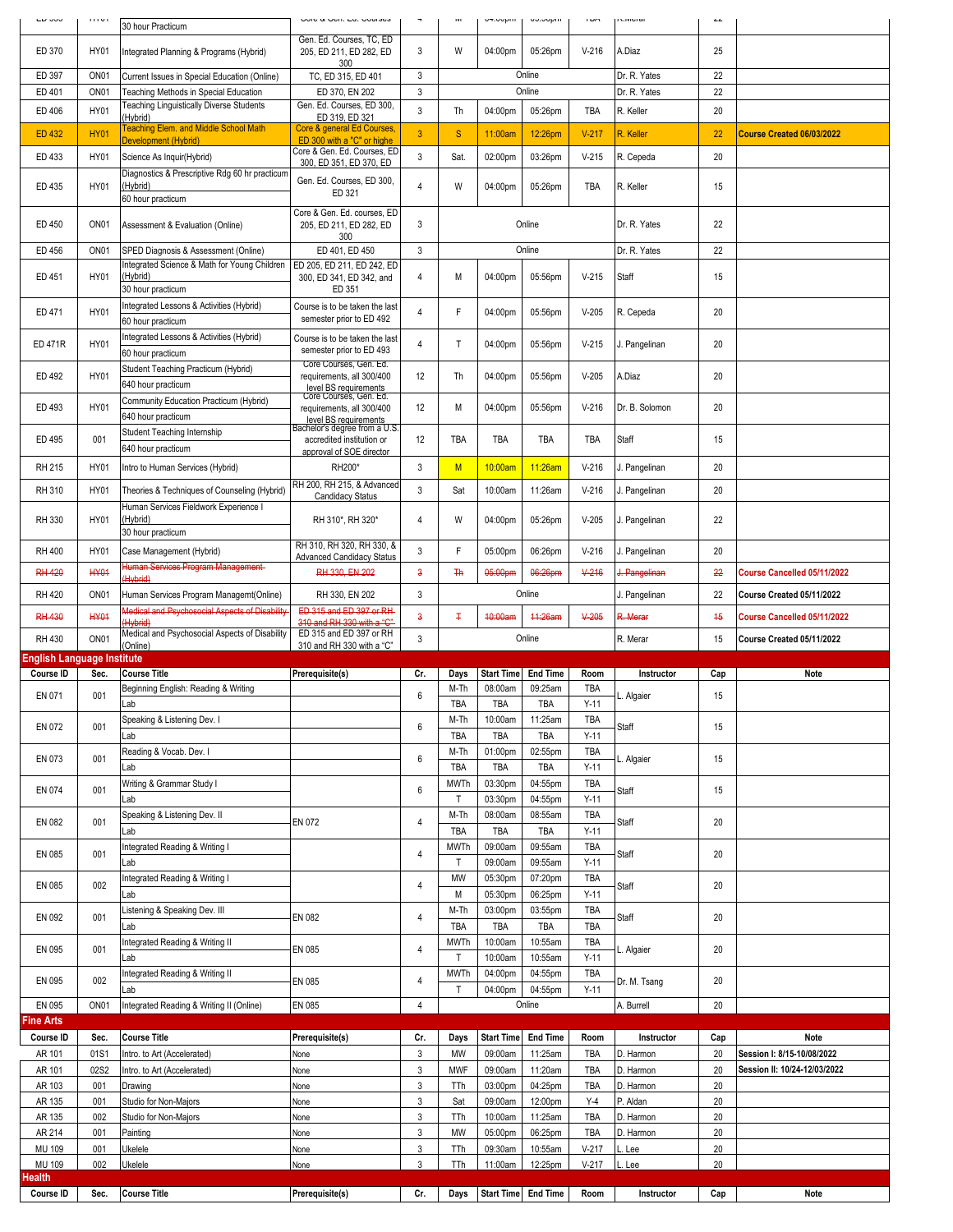|                                                | 111111           | 30 hour Practicum                                                                 | <b>U. U. ODII, LU, ODUIJOU</b>                                                                         |                  | w                           | undon-                | vv.vvpm            |                      | <b>INTER</b>           | $\mathcal{L}\mathcal{L}$ |                              |
|------------------------------------------------|------------------|-----------------------------------------------------------------------------------|--------------------------------------------------------------------------------------------------------|------------------|-----------------------------|-----------------------|--------------------|----------------------|------------------------|--------------------------|------------------------------|
| ED 370                                         | <b>HY01</b>      | Integrated Planning & Programs (Hybrid)                                           | Gen. Ed. Courses, TC, ED<br>205, ED 211, ED 282, ED<br>300                                             | 3                | W                           | 04:00pm               | 05:26pm            | $V-216$              | A.Diaz                 | 25                       |                              |
| ED 397                                         | ON <sub>01</sub> | Current Issues in Special Education (Online)                                      | TC, ED 315, ED 401                                                                                     | 3                |                             |                       | Online             |                      | Dr. R. Yates           | 22                       |                              |
| ED 401                                         | ON <sub>01</sub> | Teaching Methods in Special Education<br>Teaching Linguistically Diverse Students | ED 370, EN 202<br>Gen. Ed. Courses, ED 300,                                                            | $\mathbf{3}$     |                             |                       | Online             |                      | Dr. R. Yates           | 22                       |                              |
| ED 406                                         | <b>HY01</b>      | (Hybrid)                                                                          | ED 319, ED 321                                                                                         | 3                | Th                          | 04:00pm               | 05:26pm            | TBA                  | R. Keller              | 20                       |                              |
| <b>ED 432</b>                                  | <b>HY01</b>      | <b>Teaching Elem. and Middle School Math</b><br>Development (Hybrid)              | Core & general Ed Courses,<br>ED 300 with a "C" or highe                                               | 3                | S                           | 11:00am               | 12:26pm            | $V-217$              | R. Keller              | 22                       | Course Created 06/03/2022    |
| ED 433                                         | <b>HY01</b>      | Science As Inquir(Hybrid)                                                         | Core & Gen. Ed. Courses, ED<br>300, ED 351, ED 370, ED                                                 | 3                | Sat.                        | 02:00pm               | 03:26pm            | $V-215$              | R. Cepeda              | 20                       |                              |
| ED 435                                         | <b>HY01</b>      | Diagnostics & Prescriptive Rdg 60 hr practicum<br>(Hybrid)<br>60 hour practicum   | Gen. Ed. Courses, ED 300,<br>ED 321                                                                    | $\overline{4}$   | W                           | 04:00pm               | 05:26pm            | TBA                  | R. Keller              | 15                       |                              |
| ED 450                                         | ON <sub>01</sub> | Assessment & Evaluation (Online)                                                  | Core & Gen. Ed. courses, ED<br>205, ED 211, ED 282, ED                                                 | 3                |                             |                       | Online             |                      | Dr. R. Yates           | 22                       |                              |
| ED 456                                         | ON <sub>01</sub> | SPED Diagnosis & Assessment (Online)                                              | 300<br>ED 401, ED 450                                                                                  | 3                |                             |                       | Online             |                      | Dr. R. Yates           | 22                       |                              |
| ED 451                                         | <b>HY01</b>      | Integrated Science & Math for Young Children<br>(Hybrid)<br>30 hour practicum     | ED 205, ED 211, ED 242, ED<br>300, ED 341, ED 342, and<br>ED 351                                       | $\overline{4}$   | М                           | 04:00pm               | 05:56pm            | $V-215$              | Staff                  | 15                       |                              |
| ED 471                                         | <b>HY01</b>      | Integrated Lessons & Activities (Hybrid)<br>60 hour practicum                     | Course is to be taken the last<br>semester prior to ED 492                                             | $\overline{4}$   | F                           | 04:00pm               | 05:56pm            | $V-205$              | R. Cepeda              | 20                       |                              |
| <b>ED 471R</b>                                 | HY01             | Integrated Lessons & Activities (Hybrid)<br>60 hour practicum                     | Course is to be taken the last<br>semester prior to ED 493                                             | $\overline{4}$   | T                           | 04:00pm               | 05:56pm            | $V-215$              | J. Pangelinan          | 20                       |                              |
| ED 492                                         | <b>HY01</b>      | Student Teaching Practicum (Hybrid)<br>640 hour practicum                         | Core Courses, Gen. Ed.<br>requirements, all 300/400<br>level BS requirements<br>Core Courses, Gen. Ed. | 12               | Th                          | 04:00pm               | 05:56pm            | $V-205$              | A.Diaz                 | 20                       |                              |
| ED 493                                         | <b>HY01</b>      | Community Education Practicum (Hybrid)<br>640 hour practicum                      | requirements, all 300/400<br>level BS requirements<br>Bachelor's degree from a U.S.                    | 12               | М                           | 04:00pm               | 05:56pm            | $V-216$              | Dr. B. Solomon         | 20                       |                              |
| ED 495                                         | 001              | Student Teaching Internship<br>640 hour practicum                                 | accredited institution or<br>approval of SOE director                                                  | 12               | TBA                         | TBA                   | TBA                | TBA                  | Staff                  | 15                       |                              |
| RH 215                                         | <b>HY01</b>      | Intro to Human Services (Hybrid)                                                  | RH200*                                                                                                 | 3                | M                           | 10:00am               | 11:26am            | $V-216$              | J. Pangelinan          | 20                       |                              |
| RH 310                                         | <b>HY01</b>      | Theories & Techniques of Counseling (Hybrid)                                      | RH 200, RH 215, & Advanced<br><b>Candidacy Status</b>                                                  | 3                | Sat                         | 10:00am               | 11:26am            | $V-216$              | J. Pangelinan          | 20                       |                              |
| RH 330                                         | <b>HY01</b>      | Human Services Fieldwork Experience I<br>(Hybrid)<br>30 hour practicum            | RH 310*, RH 320*                                                                                       | 4                | W                           | 04:00pm               | 05:26pm            | $V-205$              | J. Pangelinan          | 22                       |                              |
| <b>RH 400</b>                                  | <b>HY01</b>      | Case Management (Hybrid)                                                          | RH 310, RH 320, RH 330, &<br><b>Advanced Candidacy Status</b>                                          | 3                | F                           | 05:00pm               | 06:26pm            | $V-216$              | J. Pangelinan          | 20                       |                              |
| <b>RH 420</b>                                  | <b>HY01</b>      | Human Services Program Management-                                                | RH 330, EN 202                                                                                         | $\overline{3}$   | <b>Th</b>                   | 05:00pm               | 06:26pm            | $V-216$              | J. Pangelinan          | 22                       | Course Cancelled 05/11/2022  |
| <b>RH 420</b>                                  | ON <sub>01</sub> | (Hybrid)<br>Human Services Program Managemt(Online)                               | RH 330, EN 202                                                                                         | 3                |                             |                       | Online             |                      | J. Pangelinan          | 22                       | Course Created 05/11/2022    |
| <b>RH 430</b>                                  | <b>HY01</b>      | Medical and Psychosocial Aspects of Disability                                    | ED 315 and ED 397 or RH                                                                                | 3                | Ŧ                           | 40:00am               | 44:26am            | $V-205$              | R. Merar               | 45                       | Course Cancelled 05/11/2022  |
|                                                |                  | (Hybrid)                                                                          |                                                                                                        |                  |                             |                       |                    |                      |                        |                          |                              |
|                                                |                  | Medical and Psychosocial Aspects of Disability                                    | 310 and RH 330 with a "C"<br>ED 315 and ED 397 or RH                                                   |                  |                             |                       |                    |                      |                        |                          |                              |
| RH 430                                         | ON <sub>01</sub> | (Online)                                                                          | 310 and RH 330 with a "C"                                                                              | 3                |                             |                       | Online             |                      | R. Merar               | 15                       | Course Created 05/11/2022    |
| <b>English Language Institute</b><br>Course ID | Sec.             | <b>Course Title</b>                                                               | Prerequisite(s)                                                                                        | Cr.              | Days                        | <b>Start Time</b>     | <b>End Time</b>    | Room                 | Instructor             | Cap                      | Note                         |
| EN 071                                         | 001              | Beginning English: Reading & Writing                                              |                                                                                                        | 6                | M-Th                        | 08:00am               | 09:25am            | TBA                  | . Algaier              | 15                       |                              |
| EN 072                                         | 001              | Lab<br>Speaking & Listening Dev. I                                                |                                                                                                        | 6                | TBA<br>M-Th                 | <b>TBA</b><br>10:00am | TBA<br>11:25am     | $Y-11$<br>TBA        | Staff                  | 15                       |                              |
| EN 073                                         | 001              | Lab<br>Reading & Vocab. Dev. I                                                    |                                                                                                        | 6                | TBA<br>M-Th                 | TBA<br>01:00pm        | TBA<br>02:55pm     | $Y-11$<br>TBA        | L. Algaier             | 15                       |                              |
|                                                |                  | Lab                                                                               |                                                                                                        |                  | TBA                         | TBA                   | TBA                | $Y-11$               |                        |                          |                              |
| EN 074                                         | 001              | Writing & Grammar Study I<br>Lab                                                  |                                                                                                        | 6                | <b>MWTh</b><br>$\mathsf{T}$ | 03:30pm<br>03:30pm    | 04:55pm<br>04:55pm | TBA<br>$Y-11$        | Staff                  | 15                       |                              |
| EN 082                                         | 001              | Speaking & Listening Dev. II                                                      | EN 072                                                                                                 | 4                | M-Th                        | 08:00am               | 08:55am            | TBA                  | Staff                  | 20                       |                              |
|                                                |                  | Lab<br>Integrated Reading & Writing I                                             |                                                                                                        |                  | TBA<br><b>MWTh</b>          | TBA<br>09:00am        | TBA<br>09:55am     | $Y-11$<br>TBA        |                        |                          |                              |
| EN 085                                         | 001              | Lab                                                                               |                                                                                                        | 4                | Τ                           | 09:00am               | 09:55am            | $Y-11$               | Staff                  | 20                       |                              |
| EN 085                                         | 002              | Integrated Reading & Writing I<br>Lab                                             |                                                                                                        | 4                | MW<br>М                     | 05:30pm<br>05:30pm    | 07:20pm<br>06:25pm | <b>TBA</b><br>$Y-11$ | Staff                  | 20                       |                              |
| EN 092                                         | 001              | Listening & Speaking Dev. III                                                     | EN 082                                                                                                 | $\overline{4}$   | M-Th                        | 03:00pm               | 03:55pm            | TBA                  | Staff                  | 20                       |                              |
| EN 095                                         | 001              | Lab<br>Integrated Reading & Writing II                                            | EN 085                                                                                                 | 4                | TBA<br><b>MWTh</b>          | TBA<br>10:00am        | TBA<br>10:55am     | TBA<br>TBA           | L. Algaier             | 20                       |                              |
| EN 095                                         | 002              | Lab<br>Integrated Reading & Writing II                                            | EN 085                                                                                                 | $\overline{4}$   | $\mathsf{T}$<br><b>MWTh</b> | 10:00am<br>04:00pm    | 10:55am<br>04:55pm | $Y-11$<br>TBA        | Dr. M. Tsang           | 20                       |                              |
| EN 095                                         | ON <sub>01</sub> | Lab<br>Integrated Reading & Writing II (Online)                                   | EN 085                                                                                                 | 4                | Т                           | 04:00pm               | 04:55pm<br>Online  | $Y-11$               | A. Burrell             | 20                       |                              |
| <b>Fine Arts</b>                               |                  |                                                                                   |                                                                                                        |                  |                             |                       |                    |                      |                        |                          |                              |
| Course ID                                      | Sec.             | <b>Course Title</b>                                                               | Prerequisite(s)                                                                                        | Cr.              | Days                        | <b>Start Time</b>     | <b>End Time</b>    | Room                 | Instructor             | Cap                      | Note                         |
| AR 101                                         | 01S1             | Intro. to Art (Accelerated)                                                       | None                                                                                                   | 3                | MW                          | 09:00am               | 11:25am            | TBA                  | D. Harmon              | 20                       | Session I: 8/15-10/08/2022   |
| AR 101<br>AR 103                               | 02S2<br>001      | Intro. to Art (Accelerated)<br>Drawing                                            | None<br>None                                                                                           | 3<br>3           | <b>MWF</b><br>TTh           | 09:00am<br>03:00pm    | 11:20am<br>04:25pm | TBA<br>TBA           | D. Harmon<br>D. Harmon | 20<br>20                 | Session II: 10/24-12/03/2022 |
| AR 135                                         | 001              | Studio for Non-Majors                                                             | None                                                                                                   | 3                | Sat                         | 09:00am               | 12:00pm            | $Y-4$                | P. Aldan               | 20                       |                              |
| AR 135                                         | 002              | Studio for Non-Majors                                                             | None                                                                                                   | 3                | TTh                         | 10:00am               | 11:25am            | TBA                  | D. Harmon              | 20                       |                              |
| AR 214<br>MU 109                               | 001<br>001       | Painting<br>Ukelele                                                               | None<br>None                                                                                           | $\mathsf 3$<br>3 | MW<br>TTh                   | 05:00pm<br>09:30am    | 06:25pm<br>10:55am | TBA<br>$V-217$       | D. Harmon<br>Lee       | $20\,$<br>20             |                              |
| MU 109<br>Health                               | 002              | Ukelele                                                                           | None                                                                                                   | 3                | TTh                         | 11:00am               | 12:25pm            | $V-217$              | Lee                    | 20                       |                              |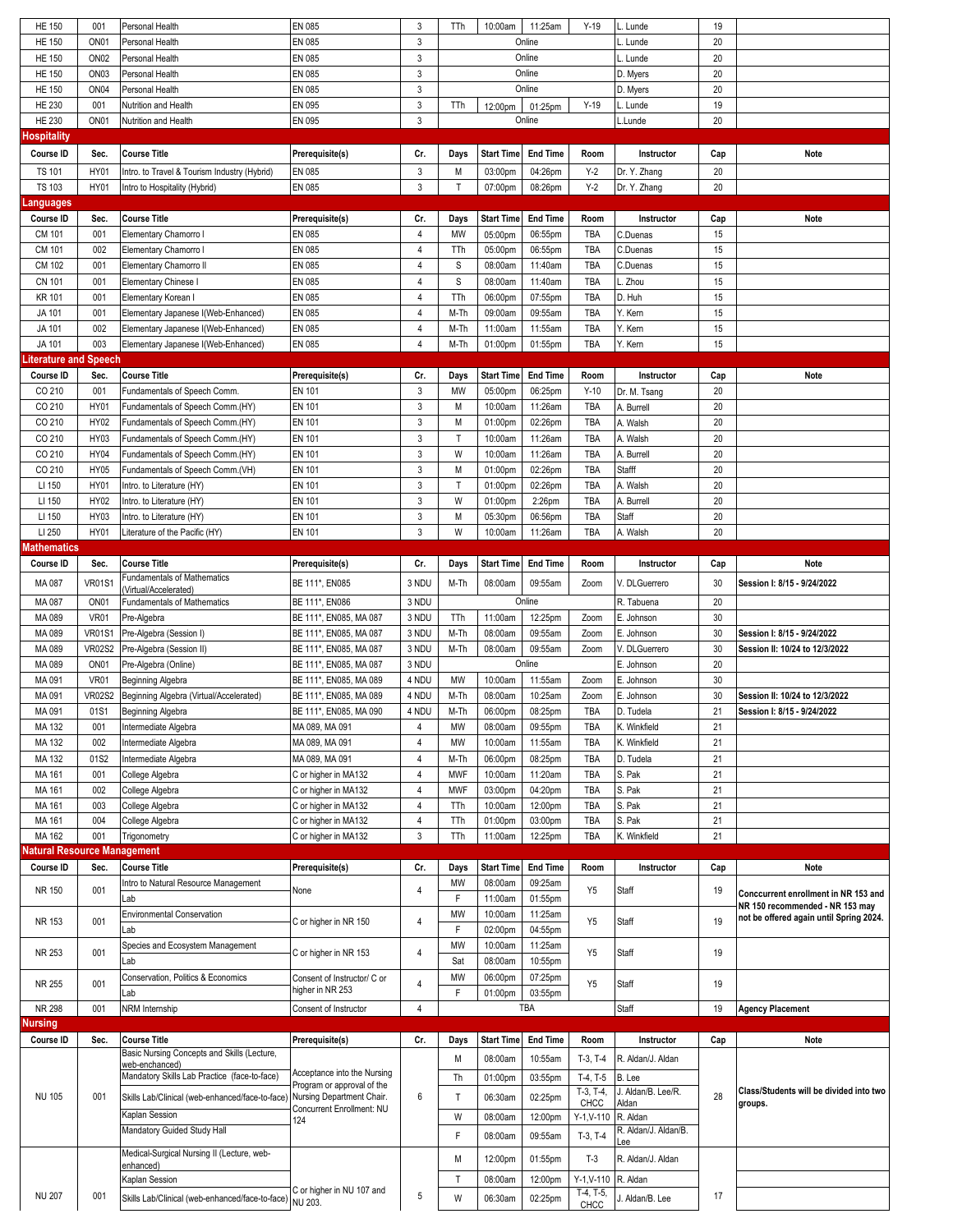| <b>HE 150</b>               | 001              | Personal Health                                         | EN 085                               | 3                         | TTh          | 10:00am           | 11:25am           | $Y-19$              | L. Lunde                    | 19  |                                                                         |
|-----------------------------|------------------|---------------------------------------------------------|--------------------------------------|---------------------------|--------------|-------------------|-------------------|---------------------|-----------------------------|-----|-------------------------------------------------------------------------|
| <b>HE 150</b>               | ON <sub>01</sub> | Personal Health                                         | EN 085                               | $\mathbf{3}$              |              |                   | Online            |                     | L. Lunde                    | 20  |                                                                         |
| <b>HE 150</b>               | ON <sub>02</sub> | Personal Health                                         | EN 085                               | $\mathbf{3}$              |              |                   | Online            |                     | L. Lunde                    | 20  |                                                                         |
| <b>HE 150</b>               | ON <sub>03</sub> | Personal Health                                         | EN 085                               | 3                         |              |                   | Online            |                     | D. Myers                    | 20  |                                                                         |
| <b>HE 150</b>               | ON <sub>04</sub> | Personal Health                                         | EN 085                               | 3                         |              |                   | Online            |                     |                             | 20  |                                                                         |
| <b>HE 230</b>               | 001              |                                                         | EN 095                               | $\ensuremath{\mathsf{3}}$ | TTh          |                   |                   | $Y-19$              | D. Myers<br>L. Lunde        | 19  |                                                                         |
| <b>HE 230</b>               | ON <sub>01</sub> | Nutrition and Health<br>Nutrition and Health            | EN 095                               | 3                         |              | 12:00pm           | 01:25pm<br>Online |                     |                             | 20  |                                                                         |
| lospitality                 |                  |                                                         |                                      |                           |              |                   |                   |                     | L.Lunde                     |     |                                                                         |
|                             |                  |                                                         |                                      |                           |              |                   |                   |                     |                             |     |                                                                         |
| Course ID                   | Sec.             | <b>Course Title</b>                                     | Prerequisite(s)                      | Cr.                       | Days         | <b>Start Time</b> | <b>End Time</b>   | Room                | Instructor                  | Cap | Note                                                                    |
| <b>TS 101</b>               | <b>HY01</b>      | Intro. to Travel & Tourism Industry (Hybrid)            | EN 085                               | 3                         | M            | 03:00pm           | 04:26pm           | $Y-2$               | Dr. Y. Zhang                | 20  |                                                                         |
| <b>TS 103</b>               | <b>HY01</b>      | Intro to Hospitality (Hybrid)                           | EN 085                               | $\mathbf{3}$              | T            | 07:00pm           | 08:26pm           | $Y-2$               | Dr. Y. Zhang                | 20  |                                                                         |
| anguages                    |                  |                                                         |                                      |                           |              |                   |                   |                     |                             |     |                                                                         |
| Course ID                   | Sec.             | Course Title                                            | Prerequisite(s)                      | Cr.                       | Days         | <b>Start Time</b> | <b>End Time</b>   | Room                | Instructor                  | Cap | Note                                                                    |
| CM 101                      | 001              | Elementary Chamorro I                                   | EN 085                               | $\sqrt{4}$                | <b>MW</b>    | 05:00pm           | 06:55pm           | TBA                 | C.Duenas                    | 15  |                                                                         |
| CM 101                      | 002              | Elementary Chamorro I                                   | EN 085                               | 4                         | TTh          | 05:00pm           | 06:55pm           | TBA                 | C.Duenas                    | 15  |                                                                         |
| CM 102                      | 001              | Elementary Chamorro II                                  | EN 085                               | 4                         | S            | 08:00am           | 11:40am           | TBA                 | C.Duenas                    | 15  |                                                                         |
| <b>CN 101</b>               | 001              | <b>Elementary Chinese I</b>                             | EN 085                               | $\overline{4}$            | S            | 08:00am           | 11:40am           | TBA                 | L. Zhou                     | 15  |                                                                         |
| <b>KR 101</b>               | 001              | Elementary Korean I                                     | EN 085                               | 4                         | TTh          | 06:00pm           | 07:55pm           | TBA                 | D. Huh                      | 15  |                                                                         |
| JA 101                      | 001              | Elementary Japanese I(Web-Enhanced)                     | EN 085                               | 4                         | M-Th         | 09:00am           | 09:55am           | TBA                 | Y. Kern                     | 15  |                                                                         |
| JA 101                      | 002              | Elementary Japanese I(Web-Enhanced)                     | EN 085                               | $\sqrt{4}$                | M-Th         | 11:00am           | 11:55am           | TBA                 | Y. Kern                     | 15  |                                                                         |
| JA 101                      | 003              | Elementary Japanese I(Web-Enhanced)                     | EN 085                               | $\overline{4}$            | M-Th         | 01:00pm           | 01:55pm           | TBA                 | Y. Kern                     | 15  |                                                                         |
| iterature and Speech.       |                  |                                                         |                                      |                           |              |                   |                   |                     |                             |     |                                                                         |
| Course ID                   | Sec.             | <b>Course Title</b>                                     | Prerequisite(s)                      | Cr.                       | Days         | <b>Start Time</b> | <b>End Time</b>   | Room                | Instructor                  | Cap | Note                                                                    |
| CO 210                      | 001              | Fundamentals of Speech Comm.                            | <b>EN 101</b>                        | 3                         | MW           | 05:00pm           | 06:25pm           | $Y-10$              | Dr. M. Tsang                | 20  |                                                                         |
| CO 210                      | <b>HY01</b>      | Fundamentals of Speech Comm.(HY)                        | EN 101                               | 3                         | M            | 10:00am           | 11:26am           | TBA                 | A. Burrell                  | 20  |                                                                         |
| CO 210                      | HY02             | Fundamentals of Speech Comm.(HY)                        | <b>EN 101</b>                        | $\sqrt{3}$                | M            | 01:00pm           | 02:26pm           | TBA                 | A. Walsh                    | 20  |                                                                         |
| CO 210                      | HY03             | Fundamentals of Speech Comm.(HY)                        | <b>EN 101</b>                        | 3                         | $\mathsf{T}$ | 10:00am           | 11:26am           | TBA                 | A. Walsh                    | 20  |                                                                         |
| CO 210                      | <b>HY04</b>      | Fundamentals of Speech Comm.(HY)                        | <b>EN 101</b>                        | 3                         | W            | 10:00am           | 11:26am           | TBA                 | A. Burrell                  | 20  |                                                                         |
| CO 210                      | <b>HY05</b>      | Fundamentals of Speech Comm.(VH)                        | <b>EN 101</b>                        | 3                         | M            | 01:00pm           | 02:26pm           | TBA                 | Stafff                      | 20  |                                                                         |
| LI 150                      | <b>HY01</b>      | Intro. to Literature (HY)                               | <b>EN 101</b>                        | 3                         | T            | 01:00pm           | 02:26pm           | TBA                 | A. Walsh                    | 20  |                                                                         |
| LI 150                      | HY02             | Intro. to Literature (HY)                               | <b>EN 101</b>                        | 3                         | W            | 01:00pm           | 2:26pm            | TBA                 | A. Burrell                  | 20  |                                                                         |
| LI 150                      | HY03             | Intro. to Literature (HY)                               | <b>EN 101</b>                        | 3                         | M            | 05:30pm           | 06:56pm           | TBA                 | Staff                       | 20  |                                                                         |
| LI 250                      | <b>HY01</b>      | Literature of the Pacific (HY)                          | EN 101                               | $\mathbf{3}$              | W            | 10:00am           | 11:26am           | TBA                 | A. Walsh                    | 20  |                                                                         |
| <b>Mathematics</b>          |                  |                                                         |                                      |                           |              |                   |                   |                     |                             |     |                                                                         |
| Course ID                   | Sec.             | <b>Course Title</b>                                     | Prerequisite(s)                      | Cr.                       | Days         | <b>Start Time</b> | <b>End Time</b>   | Room                | Instructor                  | Cap | Note                                                                    |
| MA 087                      | <b>VR01S1</b>    | Fundamentals of Mathematics                             | BE 111*, EN085                       | 3 NDU                     | M-Th         | 08:00am           | 09:55am           | Zoom                | V. DLGuerrero               | 30  | Session I: 8/15 - 9/24/2022                                             |
|                             |                  | (Virtual/Accelerated)                                   |                                      |                           |              |                   |                   |                     |                             |     |                                                                         |
| MA 087                      | ON <sub>01</sub> | <b>Fundamentals of Mathematics</b>                      | BE 111*, EN086                       | 3 NDU                     |              |                   | Online            |                     | R. Tabuena                  | 20  |                                                                         |
| MA 089                      | <b>VR01</b>      | Pre-Algebra                                             | BE 111*, EN085, MA 087               | 3 NDU                     | TTh          | 11:00am           | 12:25pm           | Zoom                | E. Johnson                  | 30  |                                                                         |
| MA 089                      | <b>VR01S1</b>    | Pre-Algebra (Session I)                                 | BE 111*, EN085, MA 087               | 3 NDU                     | M-Th         | 08:00am           | 09:55am           | Zoom                | E. Johnson                  | 30  | Session I: 8/15 - 9/24/2022                                             |
| MA 089                      | <b>VR02S2</b>    | Pre-Algebra (Session II)                                | BE 111*, EN085, MA 087               |                           |              |                   |                   | Zoom                | V. DLGuerrero               |     |                                                                         |
|                             |                  |                                                         |                                      | 3 NDU                     | M-Th         | 08:00am           | 09:55am           |                     |                             | 30  | Session II: 10/24 to 12/3/2022                                          |
| MA 089                      | ON <sub>01</sub> | Pre-Algebra (Online)                                    | BE 111*, EN085, MA 087               | 3 NDU                     |              |                   | Online            |                     | E. Johnson                  | 20  |                                                                         |
| MA 091                      | <b>VR01</b>      | Beginning Algebra                                       | BE 111*, EN085, MA 089               | 4 NDU                     | MW           | 10:00am           | 11:55am           | Zoom                | E. Johnson                  | 30  |                                                                         |
| MA 091                      | <b>VR02S2</b>    | Beginning Algebra (Virtual/Accelerated)                 | BE 111*, EN085, MA 089               | 4 NDU                     | M-Th         | 08:00am           | 10:25am           | Zoom                | E. Johnson                  | 30  | Session II: 10/24 to 12/3/2022                                          |
| MA 091                      | 01S1             | Beginning Algebra                                       | BE 111*, EN085, MA 090               | 4 NDU                     | M-Th         | 06:00pm           | 08:25pm           | <b>TBA</b>          | D. Tudela                   | 21  | Session I: 8/15 - 9/24/2022                                             |
| MA 132                      | 001              | Intermediate Algebra                                    | MA 089, MA 091                       | $\overline{4}$            | МW           | 08:00am           | 09:55pm           | TBA                 | K. Winkfield                | 21  |                                                                         |
| MA 132                      | 002              | Intermediate Algebra                                    | MA 089, MA 091                       | 4                         | MW           | 10:00am           | 11:55am           | TBA                 | K. Winkfield                | 21  |                                                                         |
| MA 132                      | 01S2             | Intermediate Algebra                                    | MA 089, MA 091                       | $\sqrt{4}$                | M-Th         | 06:00pm           | 08:25pm           | TBA                 | D. Tudela                   | 21  |                                                                         |
| MA 161                      | 001              | College Algebra                                         | C or higher in MA132                 | 4                         | <b>MWF</b>   | 10:00am           | 11:20am           | TBA                 | S. Pak                      | 21  |                                                                         |
| MA 161                      | 002              | College Algebra                                         | C or higher in MA132                 | $\overline{4}$            | <b>MWF</b>   | 03:00pm           | 04:20pm           | TBA                 | S. Pak                      | 21  |                                                                         |
| MA 161                      | 003              | College Algebra                                         | C or higher in MA132                 | 4                         | TTh          | 10:00am           | 12:00pm           | TBA                 | S. Pak                      | 21  |                                                                         |
| MA 161                      | 004              | College Algebra                                         | C or higher in MA132                 | 4                         | TTh          | 01:00pm           | 03:00pm           | TBA                 | S. Pak                      | 21  |                                                                         |
| MA 162                      | 001              | Trigonometry                                            | C or higher in MA132                 | 3                         | TTh          | 11:00am           | 12:25pm           | TBA                 | K. Winkfield                | 21  |                                                                         |
| latural Resource Management |                  |                                                         |                                      |                           |              |                   |                   |                     |                             |     |                                                                         |
| Course ID                   | Sec.             | <b>Course Title</b>                                     | Prerequisite(s)                      | Cr.                       | Days         | <b>Start Time</b> | <b>End Time</b>   | Room                | Instructor                  | Cap | Note                                                                    |
| NR 150                      | 001              | Intro to Natural Resource Management                    | None                                 | 4                         | MW           | 08:00am           | 09:25am           | Y <sub>5</sub>      | Staff                       | 19  |                                                                         |
|                             |                  | Lab                                                     |                                      |                           | F            | 11:00am           | 01:55pm           |                     |                             |     | Conccurrent enrollment in NR 153 and<br>NR 150 recommended - NR 153 may |
| NR 153                      | 001              | <b>Environmental Conservation</b>                       | C or higher in NR 150                | 4                         | MW           | 10:00am           | 11:25am           | Y <sub>5</sub>      | Staff                       | 19  | not be offered again until Spring 2024.                                 |
|                             |                  | Lab                                                     |                                      |                           | F            | 02:00pm           | 04:55pm           |                     |                             |     |                                                                         |
|                             |                  | Species and Ecosystem Management                        |                                      |                           | MW           | 10:00am           | 11:25am           |                     |                             |     |                                                                         |
| NR 253                      | 001              | Lab                                                     | C or higher in NR 153                | 4                         | Sat          | 08:00am           | 10:55pm           | Y <sub>5</sub>      | Staff                       | 19  |                                                                         |
|                             |                  | Conservation, Politics & Economics                      | Consent of Instructor/ C or          | 4                         | MW           | 06:00pm           | 07:25pm           |                     |                             |     |                                                                         |
| NR 255                      | 001              | Lab                                                     | higher in NR 253                     |                           | F            | 01:00pm           | 03:55pm           | Y <sub>5</sub>      | Staff                       | 19  |                                                                         |
| NR 298                      | 001              | NRM Internship                                          | Consent of Instructor                | 4                         |              |                   | TBA               |                     | <b>Staff</b>                | 19  | <b>Agency Placement</b>                                                 |
| lursing                     |                  |                                                         |                                      |                           |              |                   |                   |                     |                             |     |                                                                         |
| Course ID                   | Sec.             | <b>Course Title</b>                                     | Prerequisite(s)                      | Cr.                       | Days         | <b>Start Time</b> | <b>End Time</b>   | Room                | Instructor                  | Cap | Note                                                                    |
|                             |                  | Basic Nursing Concepts and Skills (Lecture,             |                                      |                           | M            | 08:00am           | 10:55am           | $T-3, T-4$          | R. Aldan/J. Aldan           |     |                                                                         |
|                             |                  | web-enchanced)                                          | Acceptance into the Nursing          |                           |              |                   |                   |                     |                             |     |                                                                         |
|                             |                  | Mandatory Skills Lab Practice (face-to-face)            | Program or approval of the           |                           | Th           | 01:00pm           | 03:55pm           | $T-4, T-5$          | B. Lee                      |     |                                                                         |
| <b>NU 105</b>               | 001              | Skills Lab/Clinical (web-enhanced/face-to-face)         | Nursing Department Chair.            | 6                         | Т            | 06:30am           | 02:25pm           | $T-3, T-4,$<br>CHCC | J. Aldan/B. Lee/R.<br>Aldan | 28  | Class/Students will be divided into two<br>groups.                      |
|                             |                  | Kaplan Session                                          | Concurrent Enrollment: NU<br>124     |                           | W            | 08:00am           | 12:00pm           | $Y-1, V-110$        | R. Aldan                    |     |                                                                         |
|                             |                  | Mandatory Guided Study Hall                             |                                      |                           | F            | 08:00am           | 09:55am           |                     | R. Aldan/J. Aldan/B.        |     |                                                                         |
|                             |                  |                                                         |                                      |                           |              |                   |                   | $T-3, T-4$          | ee.                         |     |                                                                         |
|                             |                  | Medical-Surgical Nursing II (Lecture, web-<br>enhanced) |                                      |                           | M            | 12:00pm           | 01:55pm           | $T-3$               | R. Aldan/J. Aldan           |     |                                                                         |
|                             |                  | Kaplan Session                                          |                                      |                           | T            | 08:00am           | 12:00pm           | $Y-1, V-110$        | R. Aldan                    |     |                                                                         |
| <b>NU 207</b>               | 001              | Skills Lab/Clinical (web-enhanced/face-to-face)         | C or higher in NU 107 and<br>NU 203. | 5                         | W            | 06:30am           | 02:25pm           | T-4, T-5,<br>CHCC   | J. Aldan/B. Lee             | 17  |                                                                         |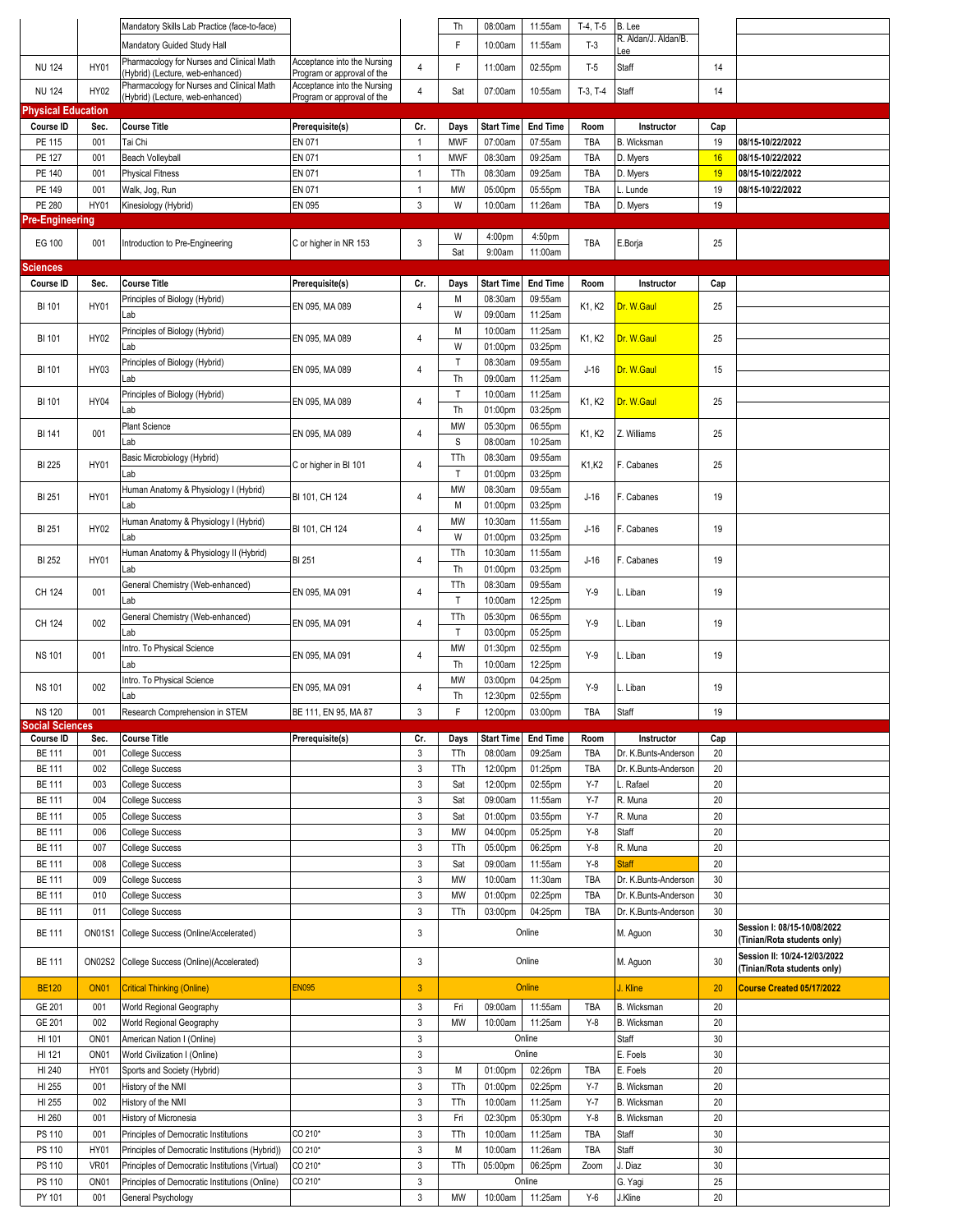|                                |                         | Mandatory Skills Lab Practice (face-to-face)                                  |                                                           |                              | Th           | 08:00am            | 11:55am            | $T-4, T-5$     | B. Lee               |          |                                                             |
|--------------------------------|-------------------------|-------------------------------------------------------------------------------|-----------------------------------------------------------|------------------------------|--------------|--------------------|--------------------|----------------|----------------------|----------|-------------------------------------------------------------|
|                                |                         | Mandatory Guided Study Hall                                                   |                                                           |                              | F            | 10:00am            | 11:55am            | $T-3$          | R. Aldan/J. Aldan/B. |          |                                                             |
| <b>NU 124</b>                  | HY01                    | Pharmacology for Nurses and Clinical Math                                     | Acceptance into the Nursing                               | $\overline{4}$               | F            | 11:00am            | 02:55pm            | $T-5$          | ee.<br>Staff         | 14       |                                                             |
|                                |                         | (Hybrid) (Lecture, web-enhanced)<br>Pharmacology for Nurses and Clinical Math | Program or approval of the<br>Acceptance into the Nursing |                              |              |                    |                    |                |                      |          |                                                             |
| <b>NU 124</b>                  | HY02                    | (Hybrid) (Lecture, web-enhanced)                                              | Program or approval of the                                | $\overline{4}$               | Sat          | 07:00am            | 10:55am            | $T-3, T-4$     | Staff                | 14       |                                                             |
| <b>Physical Education</b>      |                         |                                                                               |                                                           |                              |              |                    |                    |                |                      |          |                                                             |
| Course ID                      | Sec.                    | <b>Course Title</b>                                                           | Prerequisite(s)                                           | Cr.                          | Days         | <b>Start Time</b>  | <b>End Time</b>    | Room           | Instructor           | Cap      |                                                             |
| PE 115                         | 001                     | Tai Chi                                                                       | EN 071                                                    | $\mathbf{1}$                 | <b>MWF</b>   | 07:00am            | 07:55am            | TBA            | B. Wicksman          | 19       | 08/15-10/22/2022                                            |
| PE 127<br>PE 140               | 001<br>001              | <b>Beach Volleyball</b><br><b>Physical Fitness</b>                            | EN 071<br>EN 071                                          | $\mathbf{1}$<br>$\mathbf{1}$ | <b>MWF</b>   | 08:30am<br>08:30am | 09:25am<br>09:25am | TBA<br>TBA     | D. Myers             | 16<br>19 | 08/15-10/22/2022<br>08/15-10/22/2022                        |
| PE 149                         | 001                     | Walk, Jog, Run                                                                | EN 071                                                    | $\mathbf{1}$                 | TTh<br>MW    | 05:00pm            | 05:55pm            | TBA            | D. Myers<br>L. Lunde | 19       | 08/15-10/22/2022                                            |
| PE 280                         | <b>HY01</b>             | Kinesiology (Hybrid)                                                          | EN 095                                                    | 3                            | W            | 10:00am            | 11:26am            | TBA            | D. Myers             | 19       |                                                             |
| Pre-Engineering                |                         |                                                                               |                                                           |                              |              |                    |                    |                |                      |          |                                                             |
|                                |                         |                                                                               |                                                           |                              | W            | 4:00pm             | 4:50pm             |                |                      |          |                                                             |
| EG 100                         | 001                     | Introduction to Pre-Engineering                                               | C or higher in NR 153                                     | 3                            | Sat          | 9:00am             | 11:00am            | TBA            | E.Borja              | 25       |                                                             |
| Sciences                       |                         |                                                                               |                                                           |                              |              |                    |                    |                |                      |          |                                                             |
| Course ID                      | Sec.                    | <b>Course Title</b>                                                           | Prerequisite(s)                                           | Cr.                          | Days         | <b>Start Time</b>  | <b>End Time</b>    | Room           | Instructor           | Cap      |                                                             |
| <b>BI 101</b>                  | HY01                    | Principles of Biology (Hybrid)                                                | EN 095, MA 089                                            | $\overline{4}$               | M            | 08:30am            | 09:55am            | K1, K2         | Dr. W.Gaul           | 25       |                                                             |
|                                |                         | Lab                                                                           |                                                           |                              | W            | 09:00am            | 11:25am            |                |                      |          |                                                             |
| BI 101                         | HY02                    | Principles of Biology (Hybrid)                                                | EN 095, MA 089                                            | 4                            | M            | 10:00am            | 11:25am            | K1, K2         | Dr. W.Gaul           | 25       |                                                             |
|                                |                         | Lab                                                                           |                                                           |                              | W            | 01:00pm            | 03:25pm            |                |                      |          |                                                             |
| BI 101                         | HY03                    | Principles of Biology (Hybrid)                                                | EN 095. MA 089                                            | 4                            | $\mathsf{T}$ | 08:30am            | 09:55am            | $J-16$         | Dr. W.Gaul           | 15       |                                                             |
|                                |                         | Lab                                                                           |                                                           |                              | Th           | 09:00am            | 11:25am            |                |                      |          |                                                             |
| <b>BI 101</b>                  | HY04                    | Principles of Biology (Hybrid)                                                | EN 095, MA 089                                            | 4                            | T            | 10:00am            | 11:25am            | K1, K2         | Dr. W.Gaul           | 25       |                                                             |
|                                |                         | Lab<br><b>Plant Science</b>                                                   |                                                           |                              | Th<br>MW     | 01:00pm<br>05:30pm | 03:25pm<br>06:55pm |                |                      |          |                                                             |
| BI 141                         | 001                     | Lab                                                                           | EN 095, MA 089                                            | 4                            | S            | 08:00am            | 10:25am            | K1, K2         | Z. Williams          | 25       |                                                             |
|                                |                         | Basic Microbiology (Hybrid)                                                   |                                                           |                              | TTh          | 08:30am            | 09:55am            |                |                      |          |                                                             |
| <b>BI 225</b>                  | HY01                    | Lab                                                                           | C or higher in BI 101                                     | 4                            | $\mathsf{T}$ | 01:00pm            | 03:25pm            | K1,K2          | F. Cabanes           | 25       |                                                             |
|                                |                         | Human Anatomy & Physiology I (Hybrid)                                         |                                                           |                              | MW           | 08:30am            | 09:55am            |                |                      |          |                                                             |
| BI 251                         | <b>HY01</b>             | Lab                                                                           | BI 101, CH 124                                            | 4                            | M            | 01:00pm            | 03:25pm            | $J-16$         | F. Cabanes           | 19       |                                                             |
|                                |                         | Human Anatomy & Physiology I (Hybrid)                                         |                                                           |                              | MW           | 10:30am            | 11:55am            |                |                      |          |                                                             |
| BI 251                         | HY02                    | Lab                                                                           | BI 101, CH 124                                            | 4                            | W            | 01:00pm            | 03:25pm            | $J-16$         | F. Cabanes           | 19       |                                                             |
| <b>BI 252</b>                  | HY01                    | Human Anatomy & Physiology II (Hybrid)                                        | BI 251                                                    | 4                            | TTh          | 10:30am            | 11:55am            | $J-16$         | F. Cabanes           | 19       |                                                             |
|                                |                         | Lab                                                                           |                                                           |                              | Th           | 01:00pm            | 03:25pm            |                |                      |          |                                                             |
| CH 124                         | 001                     | General Chemistry (Web-enhanced)                                              | EN 095, MA 091                                            | 4                            | TTh          | 08:30am            | 09:55am            | $Y-9$          | L. Liban             | 19       |                                                             |
|                                |                         | Lab                                                                           |                                                           |                              | T            | 10:00am            | 12:25pm            |                |                      |          |                                                             |
| CH 124                         | 002                     | General Chemistry (Web-enhanced)                                              | EN 095, MA 091                                            | $\overline{4}$               | TTh          | 05:30pm            | 06:55pm            | $Y-9$          | Liban                | 19       |                                                             |
|                                |                         | Lab                                                                           |                                                           |                              | $\mathsf T$  | 03:00pm            | 05:25pm            |                |                      |          |                                                             |
| <b>NS 101</b>                  | 001                     | Intro. To Physical Science                                                    | EN 095, MA 091                                            | 4                            | MW           | 01:30pm            | 02:55pm            | $Y-9$          | L. Liban             | 19       |                                                             |
|                                |                         | Lab<br>Intro. To Physical Science                                             |                                                           |                              | Th<br>MW     | 10:00am<br>03:00pm | 12:25pm<br>04:25pm |                |                      |          |                                                             |
| <b>NS 101</b>                  | 002                     | Lab                                                                           | EN 095, MA 091                                            | 4                            | Th           | 12:30pm            | 02:55pm            | $Y-9$          | L. Liban             | 19       |                                                             |
| <b>NS 120</b>                  | 001                     | Research Comprehension in STEM                                                | BE 111, EN 95, MA 87                                      | 3                            | $\mathsf F$  | 12:00pm            | 03:00pm            | TBA            | Staff                | 19       |                                                             |
| <b>Social Sciences</b>         |                         |                                                                               |                                                           |                              |              |                    |                    |                |                      |          |                                                             |
| Course ID                      | Sec.                    | <b>Course Title</b>                                                           | Prerequisite(s)                                           | Cr.                          | Days         | <b>Start Time</b>  | <b>End Time</b>    | Room           | Instructor           | Cap      |                                                             |
| <b>BE 111</b>                  | 001                     | <b>College Success</b>                                                        |                                                           | 3                            | TTh          | 08:00am            | 09:25am            | TBA            | Dr. K.Bunts-Anderson | 20       |                                                             |
| <b>BE 111</b>                  | 002                     | <b>College Success</b>                                                        |                                                           | $\mathsf 3$<br>$\mathsf 3$   | TTh          | 12:00pm            | 01:25pm            | TBA<br>$Y - 7$ | Dr. K.Bunts-Anderson | 20       |                                                             |
| <b>BE 111</b><br><b>BE 111</b> | 003<br>004              | <b>College Success</b><br><b>College Success</b>                              |                                                           | $\mathbf{3}$                 | Sat<br>Sat   | 12:00pm<br>09:00am | 02:55pm<br>11:55am | $Y - 7$        | Rafael<br>R. Muna    | 20<br>20 |                                                             |
| <b>BE 111</b>                  | 005                     | College Success                                                               |                                                           | 3                            | Sat          | 01:00pm            | 03:55pm            | $Y-7$          | R. Muna              | 20       |                                                             |
| <b>BE 111</b>                  | 006                     | <b>College Success</b>                                                        |                                                           | $\mathsf 3$                  | MW           | 04:00pm            | 05:25pm            | $Y-8$          | Staff                | 20       |                                                             |
| <b>BE 111</b>                  | 007                     | College Success                                                               |                                                           | $\mathsf 3$                  | TTh          | 05:00pm            | 06:25pm            | $Y-8$          | R. Muna              | 20       |                                                             |
| <b>BE 111</b>                  | 008                     | College Success                                                               |                                                           | $\mathbf{3}$                 | Sat          | 09:00am            | 11:55am            | $Y-8$          | <b>Staff</b>         | 20       |                                                             |
| <b>BE 111</b>                  | 009                     | College Success                                                               |                                                           | $\ensuremath{\mathsf{3}}$    | MW           | 10:00am            | 11:30am            | <b>TBA</b>     | Dr. K.Bunts-Anderson | 30       |                                                             |
| <b>BE 111</b>                  | 010                     | College Success                                                               |                                                           | 3                            | MW           | 01:00pm            | 02:25pm            | TBA            | Dr. K.Bunts-Anderson | 30       |                                                             |
| <b>BE 111</b>                  | 011                     | College Success                                                               |                                                           | $\mathbf{3}$                 | TTh          | 03:00pm            | 04:25pm            | TBA            | Dr. K.Bunts-Anderson | 30       |                                                             |
| <b>BE 111</b>                  | <b>ON01S1</b>           | College Success (Online/Accelerated)                                          |                                                           | 3                            |              |                    | Online             |                | M. Aguon             | 30       | Session I: 08/15-10/08/2022                                 |
|                                |                         |                                                                               |                                                           |                              |              |                    |                    |                |                      |          | (Tinian/Rota students only)                                 |
| <b>BE 111</b>                  | <b>ON02S2</b>           | College Success (Online)(Accelerated)                                         |                                                           | 3                            |              |                    | Online             |                | M. Aguon             | 30       | Session II: 10/24-12/03/2022<br>(Tinian/Rota students only) |
| <b>BE120</b>                   | <b>ON01</b>             | <b>Critical Thinking (Online)</b>                                             | <b>EN095</b>                                              | $\mathbf{3}$                 |              |                    | Online             |                | J. Kline             | 20       | Course Created 05/17/2022                                   |
|                                |                         |                                                                               |                                                           |                              |              |                    |                    |                |                      |          |                                                             |
| GE 201<br>GE 201               | 001<br>002              | World Regional Geography                                                      |                                                           | $\mathsf 3$<br>$\mathsf 3$   | Fri          | 09:00am            | 11:55am            | TBA<br>$Y-8$   | B. Wicksman          | 20<br>20 |                                                             |
| HI 101                         | ON <sub>01</sub>        | World Regional Geography<br>American Nation I (Online)                        |                                                           | $\mathbf{3}$                 | MW           | 10:00am            | 11:25am<br>Online  |                | B. Wicksman<br>Staff | 30       |                                                             |
| HI 121                         | ON <sub>01</sub>        | World Civilization I (Online)                                                 |                                                           | $\mathsf 3$                  |              |                    | Online             |                | E. Foels             | 30       |                                                             |
| HI 240                         | <b>HY01</b>             | Sports and Society (Hybrid)                                                   |                                                           | 3                            | М            | 01:00pm            | 02:26pm            | TBA            | E. Foels             | 20       |                                                             |
| HI 255                         | 001                     | History of the NMI                                                            |                                                           | $\ensuremath{\mathsf{3}}$    | TTh          | 01:00pm            | 02:25pm            | $Y-7$          | B. Wicksman          | 20       |                                                             |
| HI 255                         | 002                     | History of the NMI                                                            |                                                           | $\mathsf 3$                  | TTh          | 10:00am            | 11:25am            | $Y - 7$        | B. Wicksman          | 20       |                                                             |
| HI 260                         | 001                     | History of Micronesia                                                         |                                                           | $\ensuremath{\mathsf{3}}$    | Fri          | 02:30pm            | 05:30pm            | $Y-8$          | B. Wicksman          | 20       |                                                             |
| PS 110                         | 001                     | Principles of Democratic Institutions                                         | CO 210*                                                   | $\mathbf{3}$                 | TTh          | 10:00am            | 11:25am            | TBA            | Staff                | 30       |                                                             |
| PS 110                         |                         | Principles of Democratic Institutions (Hybrid))                               | CO 210*                                                   | 3                            | М            | 10:00am            | 11:26am            | TBA            | Staff                | 30       |                                                             |
|                                | <b>HY01</b>             |                                                                               |                                                           |                              |              |                    |                    |                |                      |          |                                                             |
| PS 110                         | <b>VR01</b>             | Principles of Democratic Institutions (Virtual)                               | CO 210*                                                   | $\ensuremath{\mathsf{3}}$    | TTh          | 05:00pm            | 06:25pm            | Zoom           | J. Diaz              | 30       |                                                             |
| PS 110<br>PY 101               | ON <sub>01</sub><br>001 | Principles of Democratic Institutions (Online)<br>General Psychology          | CO 210*                                                   | $\mathbf{3}$<br>$\mathbf{3}$ | MW           | 10:00am            | Online<br>11:25am  | $Y-6$          | G. Yagi<br>J.Kline   | 25<br>20 |                                                             |